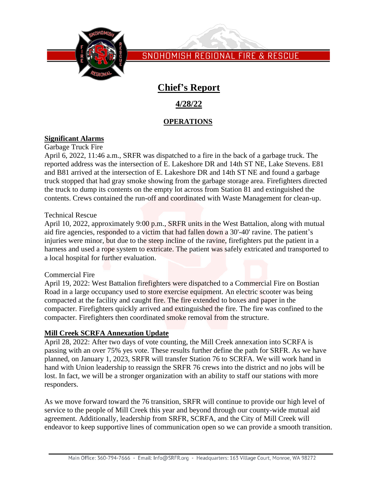

SNOHOMISH REGIONAL FIRE & RESCUE

# **Chief's Report**

# **4/28/22**

## **OPERATIONS**

## **Significant Alarms**

Garbage Truck Fire

April 6, 2022, 11:46 a.m., SRFR was dispatched to a fire in the back of a garbage truck. The reported address was the intersection of E. Lakeshore DR and 14th ST NE, Lake Stevens. E81 and B81 arrived at the intersection of E. Lakeshore DR and 14th ST NE and found a garbage truck stopped that had gray smoke showing from the garbage storage area. Firefighters directed the truck to dump its contents on the empty lot across from Station 81 and extinguished the contents. Crews contained the run-off and coordinated with Waste Management for clean-up.

#### Technical Rescue

April 10, 2022, approximately 9:00 p.m., SRFR units in the West Battalion, along with mutual aid fire agencies, responded to a victim that had fallen down a 30'-40' ravine. The patient's injuries were minor, but due to the steep incline of the ravine, firefighters put the patient in a harness and used a rope system to extricate. The patient was safely extricated and transported to a local hospital for further evaluation.

#### Commercial Fire

April 19, 2022: West Battalion firefighters were dispatched to a Commercial Fire on Bostian Road in a large occupancy used to store exercise equipment. An electric scooter was being compacted at the facility and caught fire. The fire extended to boxes and paper in the compacter. Firefighters quickly arrived and extinguished the fire. The fire was confined to the compacter. Firefighters then coordinated smoke removal from the structure.

#### **Mill Creek SCRFA Annexation Update**

April 28, 2022: After two days of vote counting, the Mill Creek annexation into SCRFA is passing with an over 75% yes vote. These results further define the path for SRFR. As we have planned, on January 1, 2023, SRFR will transfer Station 76 to SCRFA. We will work hand in hand with Union leadership to reassign the SRFR 76 crews into the district and no jobs will be lost. In fact, we will be a stronger organization with an ability to staff our stations with more responders.

As we move forward toward the 76 transition, SRFR will continue to provide our high level of service to the people of Mill Creek this year and beyond through our county-wide mutual aid agreement. Additionally, leadership from SRFR, SCRFA, and the City of Mill Creek will endeavor to keep supportive lines of communication open so we can provide a smooth transition.